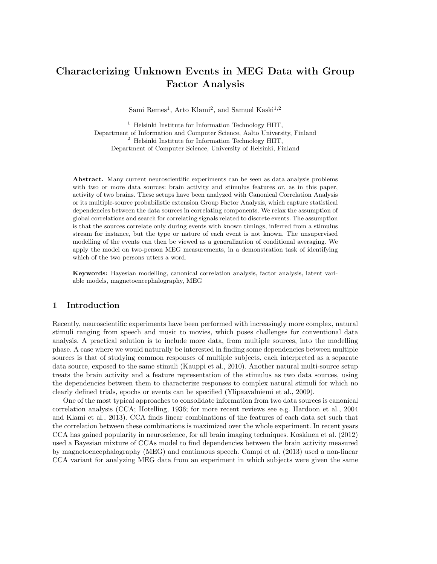# Characterizing Unknown Events in MEG Data with Group Factor Analysis

Sami Remes<sup>1</sup>, Arto Klami<sup>2</sup>, and Samuel Kaski<sup>1,2</sup>

 $<sup>1</sup>$  Helsinki Institute for Information Technology HIIT,</sup> Department of Information and Computer Science, Aalto University, Finland <sup>2</sup> Helsinki Institute for Information Technology HIIT, Department of Computer Science, University of Helsinki, Finland

Abstract. Many current neuroscientific experiments can be seen as data analysis problems with two or more data sources: brain activity and stimulus features or, as in this paper, activity of two brains. These setups have been analyzed with Canonical Correlation Analysis or its multiple-source probabilistic extension Group Factor Analysis, which capture statistical dependencies between the data sources in correlating components. We relax the assumption of global correlations and search for correlating signals related to discrete events. The assumption is that the sources correlate only during events with known timings, inferred from a stimulus stream for instance, but the type or nature of each event is not known. The unsupervised modelling of the events can then be viewed as a generalization of conditional averaging. We apply the model on two-person MEG measurements, in a demonstration task of identifying which of the two persons utters a word.

Keywords: Bayesian modelling, canonical correlation analysis, factor analysis, latent variable models, magnetoencephalography, MEG

### 1 Introduction

Recently, neuroscientific experiments have been performed with increasingly more complex, natural stimuli ranging from speech and music to movies, which poses challenges for conventional data analysis. A practical solution is to include more data, from multiple sources, into the modelling phase. A case where we would naturally be interested in finding some dependencies between multiple sources is that of studying common responses of multiple subjects, each interpreted as a separate data source, exposed to the same stimuli (Kauppi et al., 2010). Another natural multi-source setup treats the brain activity and a feature representation of the stimulus as two data sources, using the dependencies between them to characterize responses to complex natural stimuli for which no clearly defined trials, epochs or events can be specified (Ylipaavalniemi et al., 2009).

One of the most typical approaches to consolidate information from two data sources is canonical correlation analysis (CCA; Hotelling, 1936; for more recent reviews see e.g. Hardoon et al., 2004 and Klami et al., 2013). CCA finds linear combinations of the features of each data set such that the correlation between these combinations is maximized over the whole experiment. In recent years CCA has gained popularity in neuroscience, for all brain imaging techniques. Koskinen et al. (2012) used a Bayesian mixture of CCAs model to find dependencies between the brain activity measured by magnetoencephalography (MEG) and continuous speech. Campi et al. (2013) used a non-linear CCA variant for analyzing MEG data from an experiment in which subjects were given the same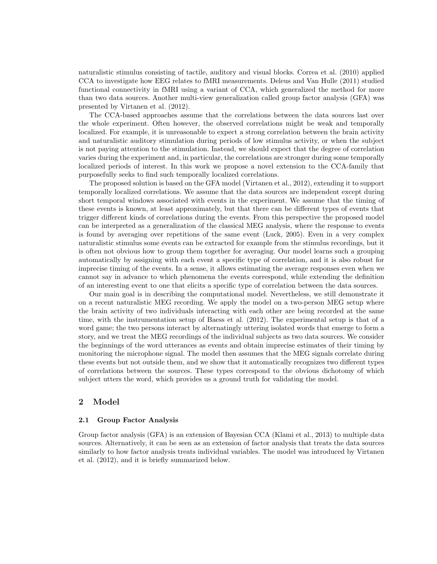naturalistic stimulus consisting of tactile, auditory and visual blocks. Correa et al. (2010) applied CCA to investigate how EEG relates to fMRI measurements. Deleus and Van Hulle (2011) studied functional connectivity in fMRI using a variant of CCA, which generalized the method for more than two data sources. Another multi-view generalization called group factor analysis (GFA) was presented by Virtanen et al. (2012).

The CCA-based approaches assume that the correlations between the data sources last over the whole experiment. Often however, the observed correlations might be weak and temporally localized. For example, it is unreasonable to expect a strong correlation between the brain activity and naturalistic auditory stimulation during periods of low stimulus activity, or when the subject is not paying attention to the stimulation. Instead, we should expect that the degree of correlation varies during the experiment and, in particular, the correlations are stronger during some temporally localized periods of interest. In this work we propose a novel extension to the CCA-family that purposefully seeks to find such temporally localized correlations.

The proposed solution is based on the GFA model (Virtanen et al., 2012), extending it to support temporally localized correlations. We assume that the data sources are independent except during short temporal windows associated with events in the experiment. We assume that the timing of these events is known, at least approximately, but that there can be different types of events that trigger different kinds of correlations during the events. From this perspective the proposed model can be interpreted as a generalization of the classical MEG analysis, where the response to events is found by averaging over repetitions of the same event (Luck, 2005). Even in a very complex naturalistic stimulus some events can be extracted for example from the stimulus recordings, but it is often not obvious how to group them together for averaging. Our model learns such a grouping automatically by assigning with each event a specific type of correlation, and it is also robust for imprecise timing of the events. In a sense, it allows estimating the average responses even when we cannot say in advance to which phenomena the events correspond, while extending the definition of an interesting event to one that elicits a specific type of correlation between the data sources.

Our main goal is in describing the computational model. Nevertheless, we still demonstrate it on a recent naturalistic MEG recording. We apply the model on a two-person MEG setup where the brain activity of two individuals interacting with each other are being recorded at the same time, with the instrumentation setup of Baess et al. (2012). The experimental setup is that of a word game; the two persons interact by alternatingly uttering isolated words that emerge to form a story, and we treat the MEG recordings of the individual subjects as two data sources. We consider the beginnings of the word utterances as events and obtain imprecise estimates of their timing by monitoring the microphone signal. The model then assumes that the MEG signals correlate during these events but not outside them, and we show that it automatically recognizes two different types of correlations between the sources. These types correspond to the obvious dichotomy of which subject utters the word, which provides us a ground truth for validating the model.

#### 2 Model

#### 2.1 Group Factor Analysis

Group factor analysis (GFA) is an extension of Bayesian CCA (Klami et al., 2013) to multiple data sources. Alternatively, it can be seen as an extension of factor analysis that treats the data sources similarly to how factor analysis treats individual variables. The model was introduced by Virtanen et al. (2012), and it is briefly summarized below.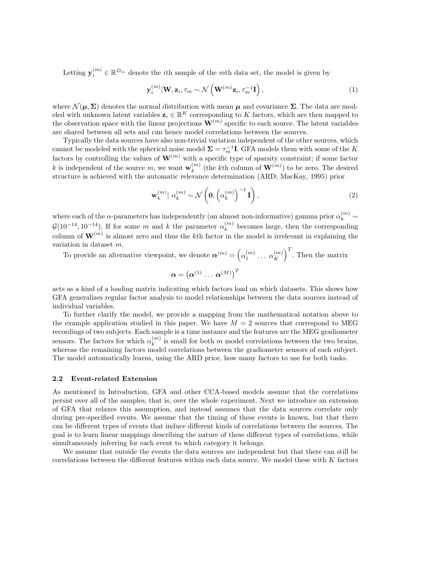Letting  $y_i^{(m)} \in \mathbb{R}^{D_m}$  denote the *i*th sample of the *m*th data set, the model is given by

$$
\mathbf{y}_i^{(m)}|\mathbf{W}, \mathbf{z}_i, \tau_m \sim \mathcal{N}\left(\mathbf{W}^{(m)}\mathbf{z}_i, \tau_m^{-1}\mathbf{I}\right),\tag{1}
$$

where  $\mathcal{N}(\mu, \Sigma)$  denotes the normal distribution with mean  $\mu$  and covariance  $\Sigma$ . The data are modeled with unknown latent variables  $\mathbf{z}_i \in \mathbb{R}^K$  corresponding to K factors, which are then mapped to the observation space with the linear projections  $\mathbf{W}^{(m)}$  specific to each source. The latent variables are shared between all sets and can hence model correlations between the sources.

Typically the data sources have also non-trivial variation independent of the other sources, which cannot be modeled with the spherical noise model  $\Sigma = \tau_m^{-1}I$ . GFA models them with some of the K factors by controlling the values of  $\mathbf{W}^{(m)}$  with a specific type of sparsity constraint; if some factor k is independent of the source m, we want  $\mathbf{w}_k^{(m)}$  $\binom{m}{k}$  (the *k*<sup>th</sup> column of  $\mathbf{W}^{(m)}$ ) to be zero. The desired structure is achieved with the automatic relevance determination (ARD; MacKay, 1995) prior

$$
\mathbf{w}_{k}^{(m)} \mid \alpha_{k}^{(m)} \sim \mathcal{N}\left(\mathbf{0}, \left(\alpha_{k}^{(m)}\right)^{-1}\mathbf{I}\right),\tag{2}
$$

where each of the  $\alpha$ -parameters has independently (an almost non-informative) gamma prior  $\alpha_k^{(m)}$  ~  $\mathcal{G}(10^{-14}, 10^{-14})$ . If for some m and k the parameter  $\alpha_k^{(m)}$  $\binom{m}{k}$  becomes large, then the corresponding column of  $\mathbf{W}^{(m)}$  is almost zero and thus the kth factor in the model is irrelevant in explaining the variation in dataset m.

To provide an alternative viewpoint, we denote  $\boldsymbol{\alpha}^{(m)} = \left(\alpha_1^{(m)} \dots \alpha_K^{(m)}\right)$  $\binom{m}{K}$ <sup>T</sup>. Then the matrix

$$
\boldsymbol{\alpha}=\left(\boldsymbol{\alpha}^{(1)}\,\ldots\,\boldsymbol{\alpha}^{(M)}\right)^T
$$

acts as a kind of a loading matrix indicating which factors load on which datasets. This shows how GFA generalizes regular factor analysis to model relationships between the data sources instead of individual variables.

To further clarify the model, we provide a mapping from the mathematical notation above to the example application studied in this paper. We have  $M = 2$  sources that correspond to MEG recordings of two subjects. Each sample is a time instance and the features are the MEG gradiometer sensors. The factors for which  $\alpha_k^{(m)}$  $\binom{m}{k}$  is small for both m model correlations between the two brains, whereas the remaining factors model correlations between the gradiometer sensors of each subject. The model automatically learns, using the ARD prior, how many factors to use for both tasks.

#### 2.2 Event-related Extension

As mentioned in Introduction, GFA and other CCA-based models assume that the correlations persist over all of the samples, that is, over the whole experiment. Next we introduce an extension of GFA that relaxes this assumption, and instead assumes that the data sources correlate only during pre-specified events. We assume that the timing of these events is known, but that there can be different types of events that induce different kinds of correlations between the sources. The goal is to learn linear mappings describing the nature of these different types of correlations, while simultaneously inferring for each event to which category it belongs.

We assume that outside the events the data sources are independent but that there can still be correlations between the different features within each data source. We model these with K factors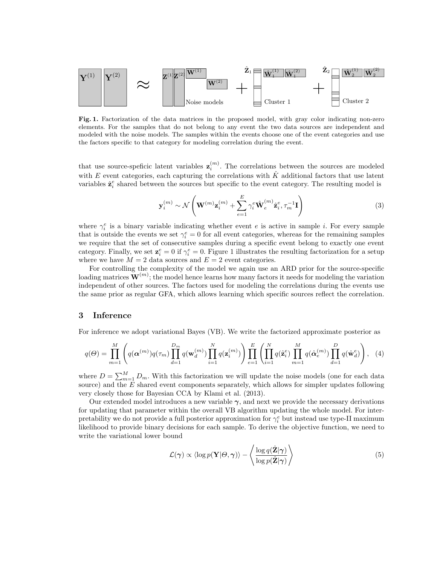

Fig. 1. Factorization of the data matrices in the proposed model, with gray color indicating non-zero elements. For the samples that do not belong to any event the two data sources are independent and modeled with the noise models. The samples within the events choose one of the event categories and use the factors specific to that category for modeling correlation during the event.

that use source-speficic latent variables  $z_i^{(m)}$ . The correlations between the sources are modeled with E event categories, each capturing the correlations with  $\hat{K}$  additional factors that use latent variables  $\hat{\mathbf{z}}_i^e$  shared between the sources but specific to the event category. The resulting model is

$$
\mathbf{y}_{i}^{(m)} \sim \mathcal{N}\left(\mathbf{W}^{(m)}\mathbf{z}_{i}^{(m)} + \sum_{e=1}^{E} \gamma_{i}^{e} \hat{\mathbf{W}}_{e}^{(m)} \hat{\mathbf{z}}_{i}^{e}, \tau_{m}^{-1} \mathbf{I}\right)
$$
(3)

where  $\gamma_i^e$  is a binary variable indicating whether event e is active in sample i. For every sample that is outside the events we set  $\gamma_i^e = 0$  for all event categories, whereas for the remaining samples we require that the set of consecutive samples during a specific event belong to exactly one event category. Finally, we set  $\mathbf{z}_i^e = 0$  if  $\gamma_i^e = 0$ . Figure 1 illustrates the resulting factorization for a setup where we have  $M = 2$  data sources and  $E = 2$  event categories.

For controlling the complexity of the model we again use an ARD prior for the source-specific loading matrices  $\mathbf{W}^{(m)}$ ; the model hence learns how many factors it needs for modeling the variation independent of other sources. The factors used for modeling the correlations during the events use the same prior as regular GFA, which allows learning which specific sources reflect the correlation.

#### 3 Inference

For inference we adopt variational Bayes (VB). We write the factorized approximate posterior as

$$
q(\Theta) = \prod_{m=1}^{M} \left( q(\boldsymbol{\alpha}^{(m)}) q(\tau_m) \prod_{d=1}^{D_m} q(\mathbf{w}_d^{(m)}) \prod_{i=1}^{N} q(\mathbf{z}_i^{(m)}) \right) \prod_{e=1}^{E} \left( \prod_{i=1}^{N} q(\hat{\mathbf{z}}_i^e) \prod_{m=1}^{M} q(\hat{\boldsymbol{\alpha}}_e^{(m)}) \prod_{d=1}^{D} q(\hat{\mathbf{w}}_d^e) \right), \quad (4)
$$

where  $D = \sum_{m=1}^{M} D_m$ . With this factorization we will update the noise models (one for each data source) and the  $E$  shared event components separately, which allows for simpler updates following very closely those for Bayesian CCA by Klami et al. (2013).

Our extended model introduces a new variable  $\gamma$ , and next we provide the necessary derivations for updating that parameter within the overall VB algorithm updating the whole model. For interpretability we do not provide a full posterior approximation for  $\gamma_i^e$  but instead use type-II maximum likelihood to provide binary decisions for each sample. To derive the objective function, we need to write the variational lower bound

$$
\mathcal{L}(\boldsymbol{\gamma}) \propto \langle \log p(\mathbf{Y}|\boldsymbol{\Theta}, \boldsymbol{\gamma}) \rangle - \left\langle \frac{\log q(\hat{\mathbf{Z}}|\boldsymbol{\gamma})}{\log p(\hat{\mathbf{Z}}|\boldsymbol{\gamma})} \right\rangle \tag{5}
$$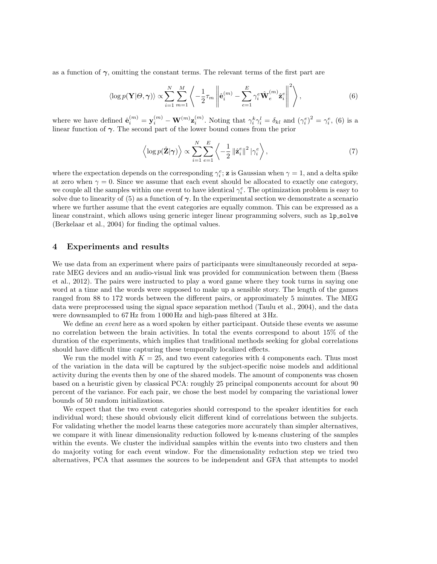as a function of  $\gamma$ , omitting the constant terms. The relevant terms of the first part are

$$
\langle \log p(\mathbf{Y}|\Theta,\boldsymbol{\gamma}) \rangle \propto \sum_{i=1}^{N} \sum_{m=1}^{M} \left\langle -\frac{1}{2} \tau_m \left\| \hat{\mathbf{e}}_i^{(m)} - \sum_{e=1}^{E} \gamma_i^e \hat{\mathbf{W}}_e^{(m)} \hat{\mathbf{z}}_i^e \right\|^2 \right\rangle, \tag{6}
$$

where we have defined  $\hat{\mathbf{e}}_i^{(m)} = \mathbf{y}_i^{(m)} - \mathbf{W}^{(m)} \mathbf{z}_i^{(m)}$ . Noting that  $\gamma_i^k \gamma_i^l = \delta_{kl}$  and  $(\gamma_i^e)^2 = \gamma_i^e$ , (6) is a linear function of  $\gamma$ . The second part of the lower bound comes from the prior

$$
\left\langle \log p(\hat{\mathbf{Z}}|\boldsymbol{\gamma}) \right\rangle \propto \sum_{i=1}^{N} \sum_{e=1}^{E} \left\langle -\frac{1}{2} \left\| \hat{\mathbf{z}}_{i}^{e} \right\|^{2} \left\| \gamma_{i}^{e} \right\rangle, \tag{7}
$$

where the expectation depends on the corresponding  $\gamma_i^e$ ; z is Gaussian when  $\gamma = 1$ , and a delta spike at zero when  $\gamma = 0$ . Since we assume that each event should be allocated to exactly one category, we couple all the samples within one event to have identical  $\gamma_i^e$ . The optimization problem is easy to solve due to linearity of (5) as a function of  $\gamma$ . In the experimental section we demonstrate a scenario where we further assume that the event categories are equally common. This can be expressed as a linear constraint, which allows using generic integer linear programming solvers, such as  $1p\_solve$ (Berkelaar et al., 2004) for finding the optimal values.

#### 4 Experiments and results

We use data from an experiment where pairs of participants were simultaneously recorded at separate MEG devices and an audio-visual link was provided for communication between them (Baess et al., 2012). The pairs were instructed to play a word game where they took turns in saying one word at a time and the words were supposed to make up a sensible story. The length of the games ranged from 88 to 172 words between the different pairs, or approximately 5 minutes. The MEG data were preprocessed using the signal space separation method (Taulu et al., 2004), and the data were downsampled to 67 Hz from 1 000 Hz and high-pass filtered at 3 Hz.

We define an *event* here as a word spoken by either participant. Outside these events we assume no correlation between the brain activities. In total the events correspond to about 15% of the duration of the experiments, which implies that traditional methods seeking for global correlations should have difficult time capturing these temporally localized effects.

We run the model with  $K = 25$ , and two event categories with 4 components each. Thus most of the variation in the data will be captured by the subject-specific noise models and additional activity during the events then by one of the shared models. The amount of components was chosen based on a heuristic given by classical PCA: roughly 25 principal components account for about 90 percent of the variance. For each pair, we chose the best model by comparing the variational lower bounds of 50 random initializations.

We expect that the two event categories should correspond to the speaker identities for each individual word; these should obviously elicit different kind of correlations between the subjects. For validating whether the model learns these categories more accurately than simpler alternatives, we compare it with linear dimensionality reduction followed by k-means clustering of the samples within the events. We cluster the individual samples within the events into two clusters and then do majority voting for each event window. For the dimensionality reduction step we tried two alternatives, PCA that assumes the sources to be independent and GFA that attempts to model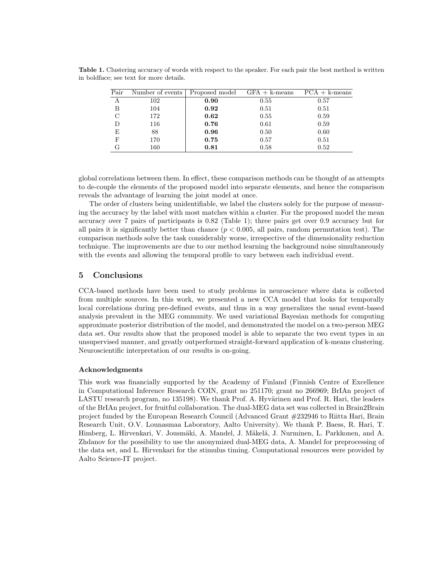| Pair | Number of events | Proposed model $GFA + k-means$ |      | $PCA + k-means$ |
|------|------------------|--------------------------------|------|-----------------|
| A    | 102              | 0.90                           | 0.55 | 0.57            |
| в    | 104              | 0.92                           | 0.51 | 0.51            |
| C    | 172              | 0.62                           | 0.55 | 0.59            |
|      | 116              | 0.76                           | 0.61 | 0.59            |
| E    | 88               | 0.96                           | 0.50 | 0.60            |
| F    | 170              | 0.75                           | 0.57 | 0.51            |
|      | 160              | 0.81                           | 0.58 | 0.52            |

Table 1. Clustering accuracy of words with respect to the speaker. For each pair the best method is written in boldface; see text for more details.

global correlations between them. In effect, these comparison methods can be thought of as attempts to de-couple the elements of the proposed model into separate elements, and hence the comparison reveals the advantage of learning the joint model at once.

The order of clusters being unidentifiable, we label the clusters solely for the purpose of measuring the accuracy by the label with most matches within a cluster. For the proposed model the mean accuracy over 7 pairs of participants is 0.82 (Table 1); three pairs get over 0.9 accuracy but for all pairs it is significantly better than chance  $(p < 0.005,$  all pairs, random permutation test). The comparison methods solve the task considerably worse, irrespective of the dimensionality reduction technique. The improvements are due to our method learning the background noise simultaneously with the events and allowing the temporal profile to vary between each individual event.

## 5 Conclusions

CCA-based methods have been used to study problems in neuroscience where data is collected from multiple sources. In this work, we presented a new CCA model that looks for temporally local correlations during pre-defined events, and thus in a way generalizes the usual event-based analysis prevalent in the MEG community. We used variational Bayesian methods for computing approximate posterior distribution of the model, and demonstrated the model on a two-person MEG data set. Our results show that the proposed model is able to separate the two event types in an unsupervised manner, and greatly outperformed straight-forward application of k-means clustering. Neuroscientific interpretation of our results is on-going.

#### Acknowledgments

This work was financially supported by the Academy of Finland (Finnish Centre of Excellence in Computational Inference Research COIN, grant no 251170; grant no 266969; BrIAn project of LASTU research program, no 135198). We thank Prof. A. Hyvärinen and Prof. R. Hari, the leaders of the BrIAn project, for fruitful collaboration. The dual-MEG data set was collected in Brain2Brain project funded by the European Research Council (Advanced Grant #232946 to Riitta Hari, Brain Research Unit, O.V. Lounasmaa Laboratory, Aalto University). We thank P. Baess, R. Hari, T. Himberg, L. Hirvenkari, V. Jousmäki, A. Mandel, J. Mäkelä, J. Nurminen, L. Parkkonen, and A. Zhdanov for the possibility to use the anonymized dual-MEG data, A. Mandel for preprocessing of the data set, and L. Hirvenkari for the stimulus timing. Computational resources were provided by Aalto Science-IT project.